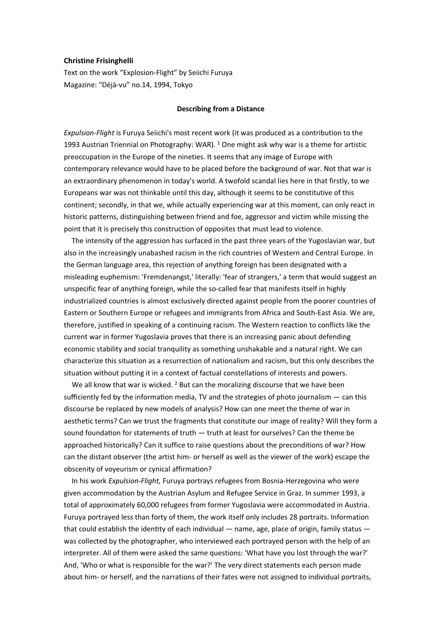# Christine Frisinghelli

Text on the work "Explosion-Flight" by Seiichi Furuya Magazine: "Déjà-vu" no.14, 1994, Tokyo

#### Describing from a Distance

Expulsion-Flight is Furuya Seiichi's most recent work (it was produced as a contribution to the 1993 Austrian Triennial on Photography: WAR). <sup>1</sup> One might ask why war is a theme for artistic preoccupation in the Europe of the nineties. It seems that any image of Europe with contemporary relevance would have to be placed before the background of war. Not that war is an extraordinary phenomenon in today's world. A twofold scandal lies here in that firstly, to we Europeans war was not thinkable until this day, although it seems to be constitutive of this continent; secondly, in that we, while actually experiencing war at this moment, can only react in historic patterns, distinguishing between friend and foe, aggressor and victim while missing the point that it is precisely this construction of opposites that must lead to violence.

The intensity of the aggression has surfaced in the past three years of the Yugoslavian war, but also in the increasingly unabashed racism in the rich countries of Western and Central Europe. In the German language area, this rejection of anything foreign has been designated with a misleading euphemism: 'Fremdenangst,' literally: 'fear of strangers,' a term that would suggest an unspecific fear of anything foreign, while the so-called fear that manifests itself in highly industrialized countries is almost exclusively directed against people from the poorer countries of Eastern or Southern Europe or refugees and immigrants from Africa and South-East Asia. We are, therefore, justified in speaking of a continuing racism. The Western reaction to conflicts like the current war in former Yugoslavia proves that there is an increasing panic about defending economic stability and social tranquility as something unshakable and a natural right. We can characterize this situation as a resurrection of nationalism and racism, but this only describes the situation without putting it in a context of factual constellations of interests and powers.

We all know that war is wicked.  $2$  But can the moralizing discourse that we have been sufficiently fed by the information media, TV and the strategies of photo journalism  $-$  can this discourse be replaced by new models of analysis? How can one meet the theme of war in aesthetic terms? Can we trust the fragments that constitute our image of reality? Will they form a sound foundation for statements of truth  $-$  truth at least for ourselves? Can the theme be approached historically? Can it suffice to raise questions about the preconditions of war? How can the distant observer (the artist him- or herself as well as the viewer of the work) escape the obscenity of voyeurism or cynical affirmation?

In his work Expulsion-Flight, Furuya portrays refugees from Bosnia-Herzegovina who were given accommodation by the Austrian Asylum and Refugee Service in Graz. In summer 1993, a total of approximately 60,000 refugees from former Yugoslavia were accommodated in Austria. Furuya portrayed less than forty of them, the work itself only includes 28 portraits. Information that could establish the identity of each individual  $-$  name, age, place of origin, family status  $$ was collected by the photographer, who interviewed each portrayed person with the help of an interpreter. All of them were asked the same questions: 'What have you lost through the war?' And, 'Who or what is responsible for the war?' The very direct statements each person made about him- or herself, and the narrations of their fates were not assigned to individual portraits,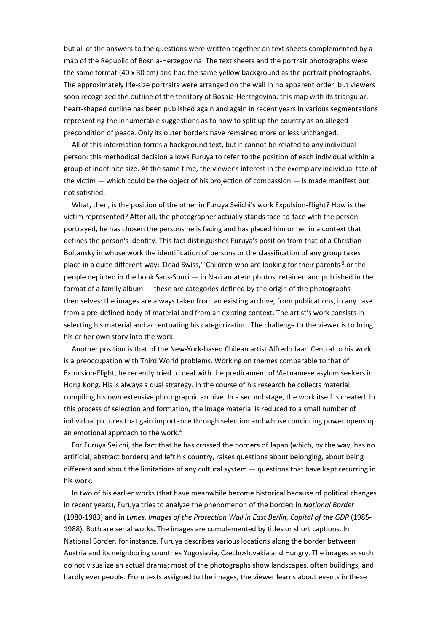but all of the answers to the questions were written together on text sheets complemented by a map of the Republic of Bosnia-Herzegovina. The text sheets and the portrait photographs were the same format (40 x 30 cm) and had the same yellow background as the portrait photographs. The approximately life-size portraits were arranged on the wall in no apparent order, but viewers soon recognized the outline of the territory of Bosnia-Herzegovina: this map with its triangular, heart-shaped outline has been published again and again in recent years in various segmentations representing the innumerable suggestions as to how to split up the country as an alleged precondition of peace. Only its outer borders have remained more or less unchanged.

All of this information forms a background text, but it cannot be related to any individual person: this methodical decision allows Furuya to refer to the position of each individual within a group of indefinite size. At the same time, the viewer's interest in the exemplary individual fate of the victim — which could be the object of his projection of compassion — is made manifest but not satisfied.

What, then, is the position of the other in Furuya Seiichi's work Expulsion-Flight? How is the victim represented? After all, the photographer actually stands face-to-face with the person portrayed, he has chosen the persons he is facing and has placed him or her in a context that defines the person's identity. This fact distinguishes Furuya's position from that of a Christian Boltansky in whose work the identification of persons or the classification of any group takes place in a quite different way: 'Dead Swiss,' 'Children who are looking for their parents<sup>13</sup> or the people depicted in the book Sans-Souci ― in Nazi amateur photos, retained and published in the format of a family album ― these are categories defined by the origin of the photographs themselves: the images are always taken from an existing archive, from publications, in any case from a pre-defined body of material and from an existing context. The artist's work consists in selecting his material and accentuating his categorization. The challenge to the viewer is to bring his or her own story into the work.

Another position is that of the New-York-based Chilean artist Alfredo Jaar. Central to his work is a preoccupation with Third World problems. Working on themes comparable to that of Expulsion-Flight, he recently tried to deal with the predicament of Vietnamese asylum seekers in Hong Kong. His is always a dual strategy. In the course of his research he collects material, compiling his own extensive photographic archive. In a second stage, the work itself is created. In this process of selection and formation, the image material is reduced to a small number of individual pictures that gain importance through selection and whose convincing power opens up an emotional approach to the work.<sup>4</sup>

For Furuya Seiichi, the fact that he has crossed the borders of Japan (which, by the way, has no artificial, abstract borders) and left his country, raises questions about belonging, about being different and about the limitations of any cultural system  $-$  questions that have kept recurring in his work.

In two of his earlier works (that have meanwhile become historical because of political changes in recent years), Furuya tries to analyze the phenomenon of the border: in National Border (1980-1983) and in Limes. Images of the Protection Wall in East Berlin, Capital of the GDR (1985- 1988). Both are serial works. The images are complemented by titles or short captions. In National Border, for instance, Furuya describes various locations along the border between Austria and its neighboring countries Yugoslavia, Czechoslovakia and Hungry. The images as such do not visualize an actual drama; most of the photographs show landscapes, often buildings, and hardly ever people. From texts assigned to the images, the viewer learns about events in these